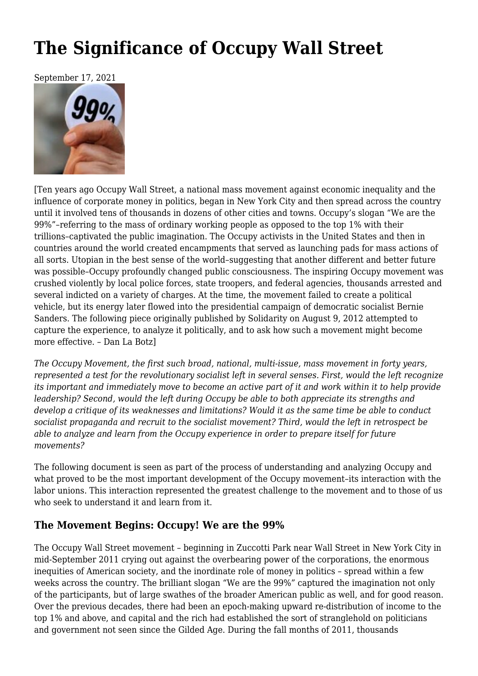# **[The Significance of Occupy Wall Street](https://newpol.org/the-significance-of-occupy-wall-street/)**

September 17, 2021



[Ten years ago Occupy Wall Street, a national mass movement against economic inequality and the influence of corporate money in politics, began in New York City and then spread across the country until it involved tens of thousands in dozens of other cities and towns. Occupy's slogan "We are the 99%"–referring to the mass of ordinary working people as opposed to the top 1% with their trillions–captivated the public imagination. The Occupy activists in the United States and then in countries around the world created encampments that served as launching pads for mass actions of all sorts. Utopian in the best sense of the world–suggesting that another different and better future was possible–Occupy profoundly changed public consciousness. The inspiring Occupy movement was crushed violently by local police forces, state troopers, and federal agencies, thousands arrested and several indicted on a variety of charges. At the time, the movement failed to create a political vehicle, but its energy later flowed into the presidential campaign of democratic socialist Bernie Sanders. The following piece originally published by [Solidarity on August 9, 2012](https://solidarity-us.org/site/node/3663/) attempted to capture the experience, to analyze it politically, and to ask how such a movement might become more effective. – Dan La Botz]

*The Occupy Movement, the first such broad, national, multi-issue, mass movement in forty years, represented a test for the revolutionary socialist left in several senses. First, would the left recognize its important and immediately move to become an active part of it and work within it to help provide leadership? Second, would the left during Occupy be able to both appreciate its strengths and develop a critique of its weaknesses and limitations? Would it as the same time be able to conduct socialist propaganda and recruit to the socialist movement? Third, would the left in retrospect be able to analyze and learn from the Occupy experience in order to prepare itself for future movements?*

The following document is seen as part of the process of understanding and analyzing Occupy and what proved to be the most important development of the Occupy movement–its interaction with the labor unions. This interaction represented the greatest challenge to the movement and to those of us who seek to understand it and learn from it.

## **The Movement Begins: Occupy! We are the 99%**

The Occupy Wall Street movement – beginning in Zuccotti Park near Wall Street in New York City in mid-September 2011 crying out against the overbearing power of the corporations, the enormous inequities of American society, and the inordinate role of money in politics – spread within a few weeks across the country. The brilliant slogan "We are the 99%" captured the imagination not only of the participants, but of large swathes of the broader American public as well, and for good reason. Over the previous decades, there had been an epoch-making upward re-distribution of income to the top 1% and above, and capital and the rich had established the sort of stranglehold on politicians and government not seen since the Gilded Age. During the fall months of 2011, thousands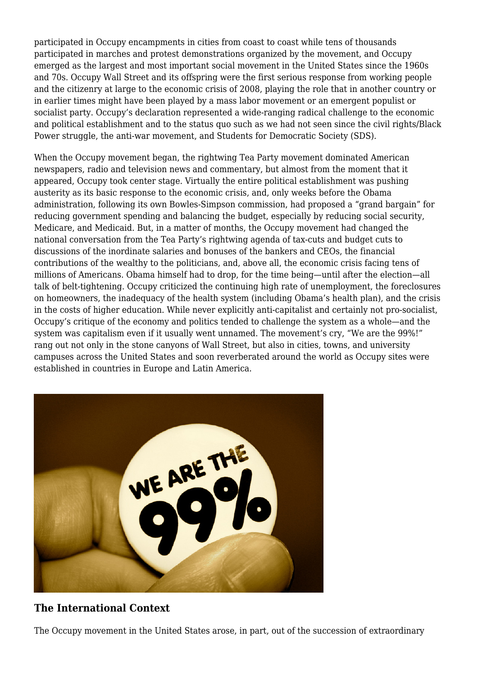participated in Occupy encampments in cities from coast to coast while tens of thousands participated in marches and protest demonstrations organized by the movement, and Occupy emerged as the largest and most important social movement in the United States since the 1960s and 70s. Occupy Wall Street and its offspring were the first serious response from working people and the citizenry at large to the economic crisis of 2008, playing the role that in another country or in earlier times might have been played by a mass labor movement or an emergent populist or socialist party. [Occupy's declaration](http://www.nycga.net/resources/declaration/) represented a wide-ranging radical challenge to the economic and political establishment and to the status quo such as we had not seen since the civil rights/Black Power struggle, the anti-war movement, and Students for Democratic Society (SDS).

When the Occupy movement began, the rightwing Tea Party movement dominated American newspapers, radio and television news and commentary, but almost from the moment that it appeared, Occupy took center stage. Virtually the entire political establishment was pushing austerity as its basic response to the economic crisis, and, only weeks before the Obama administration, following its own Bowles-Simpson commission, had proposed a "grand bargain" for reducing government spending and balancing the budget, especially by reducing social security, Medicare, and Medicaid. But, in a matter of months, the Occupy movement had changed the national conversation from the Tea Party's rightwing agenda of tax-cuts and budget cuts to discussions of the inordinate salaries and bonuses of the bankers and CEOs, the financial contributions of the wealthy to the politicians, and, above all, the economic crisis facing tens of millions of Americans. Obama himself had to drop, for the time being—until after the election—all talk of belt-tightening. Occupy criticized the continuing high rate of unemployment, the foreclosures on homeowners, the inadequacy of the health system (including Obama's health plan), and the crisis in the costs of higher education. While never explicitly anti-capitalist and certainly not pro-socialist, Occupy's critique of the economy and politics tended to challenge the system as a whole—and the system was capitalism even if it usually went unnamed. The movement's cry, "We are the 99%!" rang out not only in the stone canyons of Wall Street, but also in cities, towns, and university campuses across the United States and soon reverberated around the world as Occupy sites were established in countries in Europe and Latin America.



## **The International Context**

The Occupy movement in the United States arose, in part, out of the succession of extraordinary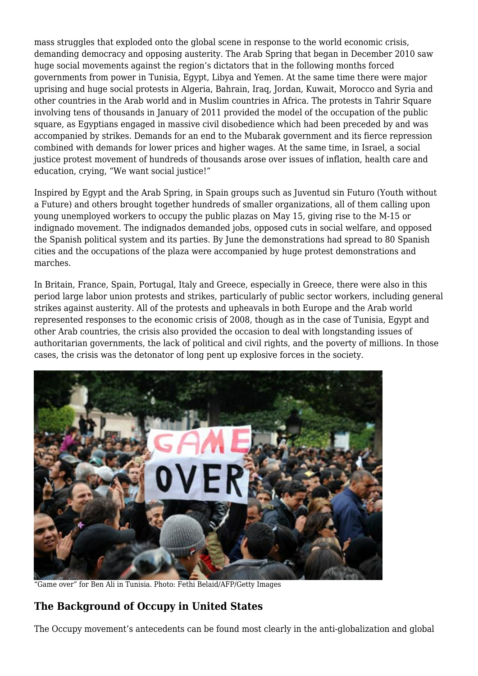mass struggles that exploded onto the global scene in response to the world economic crisis, demanding democracy and opposing austerity. The Arab Spring that began in December 2010 saw huge social movements against the region's dictators that in the following months forced governments from power in Tunisia, Egypt, Libya and Yemen. At the same time there were major uprising and huge social protests in Algeria, Bahrain, Iraq, Jordan, Kuwait, Morocco and Syria and other countries in the Arab world and in Muslim countries in Africa. The protests in Tahrir Square involving tens of thousands in January of 2011 provided the model of the occupation of the public square, as Egyptians engaged in massive civil disobedience which had been preceded by and was accompanied by strikes. Demands for an end to the Mubarak government and its fierce repression combined with demands for lower prices and higher wages. At the same time, in Israel, a social justice protest movement of hundreds of thousands arose over issues of inflation, health care and education, crying, "We want social justice!"

Inspired by Egypt and the Arab Spring, in Spain groups such as Juventud sin Futuro (Youth without a Future) and others brought together hundreds of smaller organizations, all of them calling upon young unemployed workers to occupy the public plazas on May 15, giving rise to the M-15 or indignado movement. The indignados demanded jobs, opposed cuts in social welfare, and opposed the Spanish political system and its parties. By June the demonstrations had spread to 80 Spanish cities and the occupations of the plaza were accompanied by huge protest demonstrations and marches.

In Britain, France, Spain, Portugal, Italy and Greece, especially in Greece, there were also in this period large labor union protests and strikes, particularly of public sector workers, including general strikes against austerity. All of the protests and upheavals in both Europe and the Arab world represented responses to the economic crisis of 2008, though as in the case of Tunisia, Egypt and other Arab countries, the crisis also provided the occasion to deal with longstanding issues of authoritarian governments, the lack of political and civil rights, and the poverty of millions. In those cases, the crisis was the detonator of long pent up explosive forces in the society.



"Game over" for Ben Ali in Tunisia. Photo: Fethi Belaid/AFP/Getty Images

## **The Background of Occupy in United States**

The Occupy movement's antecedents can be found most clearly in the anti-globalization and global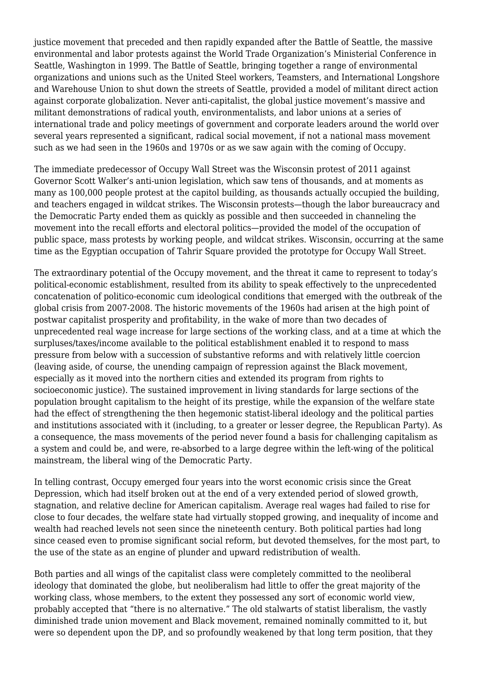justice movement that preceded and then rapidly expanded after the Battle of Seattle, the massive environmental and labor protests against the World Trade Organization's Ministerial Conference in Seattle, Washington in 1999. The Battle of Seattle, bringing together a range of environmental organizations and unions such as the United Steel workers, Teamsters, and International Longshore and Warehouse Union to shut down the streets of Seattle, provided a model of militant direct action against corporate globalization. Never anti-capitalist, the global justice movement's massive and militant demonstrations of radical youth, environmentalists, and labor unions at a series of international trade and policy meetings of government and corporate leaders around the world over several years represented a significant, radical social movement, if not a national mass movement such as we had seen in the 1960s and 1970s or as we saw again with the coming of Occupy.

The immediate predecessor of Occupy Wall Street was the Wisconsin protest of 2011 against Governor Scott Walker's anti-union legislation, which saw tens of thousands, and at moments as many as 100,000 people protest at the capitol building, as thousands actually occupied the building, and teachers engaged in wildcat strikes. The Wisconsin protests—though the labor bureaucracy and the Democratic Party ended them as quickly as possible and then succeeded in channeling the movement into the recall efforts and electoral politics—provided the model of the occupation of public space, mass protests by working people, and wildcat strikes. Wisconsin, occurring at the same time as the Egyptian occupation of Tahrir Square provided the prototype for Occupy Wall Street.

The extraordinary potential of the Occupy movement, and the threat it came to represent to today's political-economic establishment, resulted from its ability to speak effectively to the unprecedented concatenation of politico-economic cum ideological conditions that emerged with the outbreak of the global crisis from 2007-2008. The historic movements of the 1960s had arisen at the high point of postwar capitalist prosperity and profitability, in the wake of more than two decades of unprecedented real wage increase for large sections of the working class, and at a time at which the surpluses/taxes/income available to the political establishment enabled it to respond to mass pressure from below with a succession of substantive reforms and with relatively little coercion (leaving aside, of course, the unending campaign of repression against the Black movement, especially as it moved into the northern cities and extended its program from rights to socioeconomic justice). The sustained improvement in living standards for large sections of the population brought capitalism to the height of its prestige, while the expansion of the welfare state had the effect of strengthening the then hegemonic statist-liberal ideology and the political parties and institutions associated with it (including, to a greater or lesser degree, the Republican Party). As a consequence, the mass movements of the period never found a basis for challenging capitalism as a system and could be, and were, re-absorbed to a large degree within the left-wing of the political mainstream, the liberal wing of the Democratic Party.

In telling contrast, Occupy emerged four years into the worst economic crisis since the Great Depression, which had itself broken out at the end of a very extended period of slowed growth, stagnation, and relative decline for American capitalism. Average real wages had failed to rise for close to four decades, the welfare state had virtually stopped growing, and inequality of income and wealth had reached levels not seen since the nineteenth century. Both political parties had long since ceased even to promise significant social reform, but devoted themselves, for the most part, to the use of the state as an engine of plunder and upward redistribution of wealth.

Both parties and all wings of the capitalist class were completely committed to the neoliberal ideology that dominated the globe, but neoliberalism had little to offer the great majority of the working class, whose members, to the extent they possessed any sort of economic world view, probably accepted that "there is no alternative." The old stalwarts of statist liberalism, the vastly diminished trade union movement and Black movement, remained nominally committed to it, but were so dependent upon the DP, and so profoundly weakened by that long term position, that they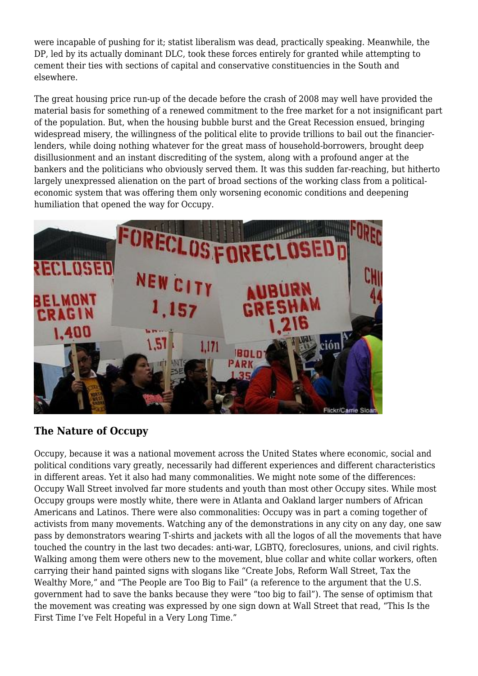were incapable of pushing for it; statist liberalism was dead, practically speaking. Meanwhile, the DP, led by its actually dominant DLC, took these forces entirely for granted while attempting to cement their ties with sections of capital and conservative constituencies in the South and elsewhere.

The great housing price run-up of the decade before the crash of 2008 may well have provided the material basis for something of a renewed commitment to the free market for a not insignificant part of the population. But, when the housing bubble burst and the Great Recession ensued, bringing widespread misery, the willingness of the political elite to provide trillions to bail out the financierlenders, while doing nothing whatever for the great mass of household-borrowers, brought deep disillusionment and an instant discrediting of the system, along with a profound anger at the bankers and the politicians who obviously served them. It was this sudden far-reaching, but hitherto largely unexpressed alienation on the part of broad sections of the working class from a politicaleconomic system that was offering them only worsening economic conditions and deepening humiliation that opened the way for Occupy.



## **The Nature of Occupy**

Occupy, because it was a national movement across the United States where economic, social and political conditions vary greatly, necessarily had different experiences and different characteristics in different areas. Yet it also had many commonalities. We might note some of the differences: Occupy Wall Street involved far more students and youth than most other Occupy sites. While most Occupy groups were mostly white, there were in Atlanta and Oakland larger numbers of African Americans and Latinos. There were also commonalities: Occupy was in part a coming together of activists from many movements. Watching any of the demonstrations in any city on any day, one saw pass by demonstrators wearing T-shirts and jackets with all the logos of all the movements that have touched the country in the last two decades: anti-war, LGBTQ, foreclosures, unions, and civil rights. Walking among them were others new to the movement, blue collar and white collar workers, often carrying their hand painted signs with slogans like "Create Jobs, Reform Wall Street, Tax the Wealthy More," and "The People are Too Big to Fail" (a reference to the argument that the U.S. government had to save the banks because they were "too big to fail"). The sense of optimism that the movement was creating was expressed by one sign down at Wall Street that read, "This Is the First Time I've Felt Hopeful in a Very Long Time."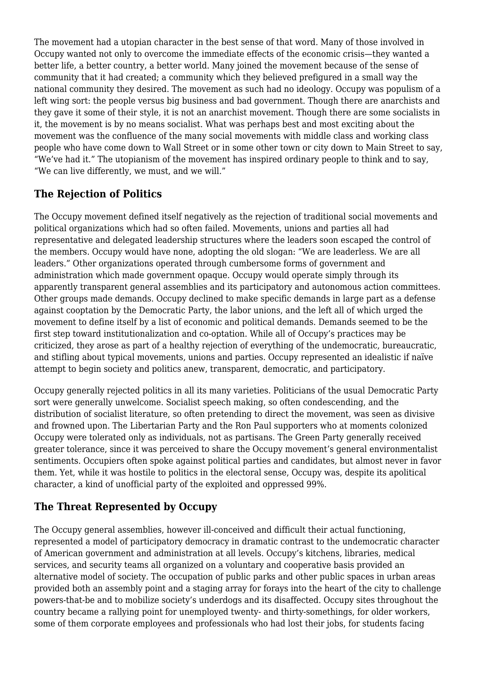The movement had a utopian character in the best sense of that word. Many of those involved in Occupy wanted not only to overcome the immediate effects of the economic crisis—they wanted a better life, a better country, a better world. Many joined the movement because of the sense of community that it had created; a community which they believed prefigured in a small way the national community they desired. The movement as such had no ideology. Occupy was populism of a left wing sort: the people versus big business and bad government. Though there are anarchists and they gave it some of their style, it is not an anarchist movement. Though there are some socialists in it, the movement is by no means socialist. What was perhaps best and most exciting about the movement was the confluence of the many social movements with middle class and working class people who have come down to Wall Street or in some other town or city down to Main Street to say, "We've had it." The utopianism of the movement has inspired ordinary people to think and to say, "We can live differently, we must, and we will."

# **The Rejection of Politics**

The Occupy movement defined itself negatively as the rejection of traditional social movements and political organizations which had so often failed. Movements, unions and parties all had representative and delegated leadership structures where the leaders soon escaped the control of the members. Occupy would have none, adopting the old slogan: "We are leaderless. We are all leaders." Other organizations operated through cumbersome forms of government and administration which made government opaque. Occupy would operate simply through its apparently transparent general assemblies and its participatory and autonomous action committees. Other groups made demands. Occupy declined to make specific demands in large part as a defense against cooptation by the Democratic Party, the labor unions, and the left all of which urged the movement to define itself by a list of economic and political demands. Demands seemed to be the first step toward institutionalization and co-optation. While all of Occupy's practices may be criticized, they arose as part of a healthy rejection of everything of the undemocratic, bureaucratic, and stifling about typical movements, unions and parties. Occupy represented an idealistic if naïve attempt to begin society and politics anew, transparent, democratic, and participatory.

Occupy generally rejected politics in all its many varieties. Politicians of the usual Democratic Party sort were generally unwelcome. Socialist speech making, so often condescending, and the distribution of socialist literature, so often pretending to direct the movement, was seen as divisive and frowned upon. The Libertarian Party and the Ron Paul supporters who at moments colonized Occupy were tolerated only as individuals, not as partisans. The Green Party generally received greater tolerance, since it was perceived to share the Occupy movement's general environmentalist sentiments. Occupiers often spoke against political parties and candidates, but almost never in favor them. Yet, while it was hostile to politics in the electoral sense, Occupy was, despite its apolitical character, a kind of unofficial party of the exploited and oppressed 99%.

# **The Threat Represented by Occupy**

The Occupy general assemblies, however ill-conceived and difficult their actual functioning, represented a model of participatory democracy in dramatic contrast to the undemocratic character of American government and administration at all levels. Occupy's kitchens, libraries, medical services, and security teams all organized on a voluntary and cooperative basis provided an alternative model of society. The occupation of public parks and other public spaces in urban areas provided both an assembly point and a staging array for forays into the heart of the city to challenge powers-that-be and to mobilize society's underdogs and its disaffected. Occupy sites throughout the country became a rallying point for unemployed twenty- and thirty-somethings, for older workers, some of them corporate employees and professionals who had lost their jobs, for students facing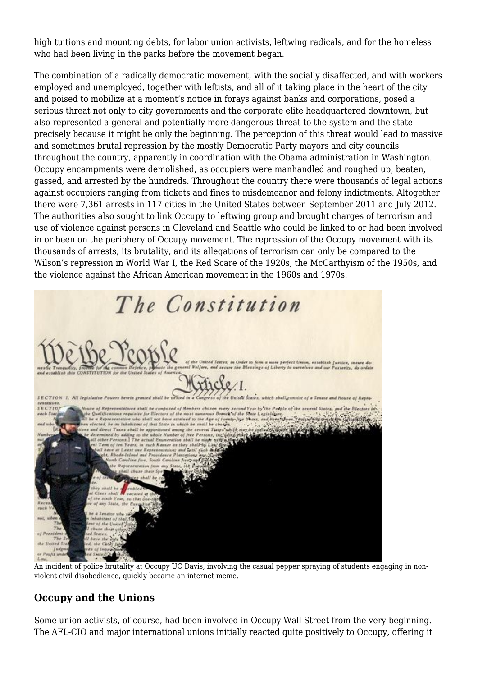high tuitions and mounting debts, for labor union activists, leftwing radicals, and for the homeless who had been living in the parks before the movement began.

The combination of a radically democratic movement, with the socially disaffected, and with workers employed and unemployed, together with leftists, and all of it taking place in the heart of the city and poised to mobilize at a moment's notice in forays against banks and corporations, posed a serious threat not only to city governments and the corporate elite headquartered downtown, but also represented a general and potentially more dangerous threat to the system and the state precisely because it might be only the beginning. The perception of this threat would lead to massive and sometimes brutal repression by the mostly Democratic Party mayors and city councils throughout the country, apparently [in coordination with the Obama administration](http://www.dailykos.com/story/2011/11/15/1036711/-Updated-Homeland-Security-FBI-Others-Advise-US-Conf-Mayors-Coordinated-Occupy-Crackdowns) in Washington. Occupy encampments were demolished, as occupiers were manhandled and roughed up, beaten, gassed, and arrested by the hundreds. Throughout the country there were thousands of legal actions against occupiers ranging from tickets and fines to misdemeanor and felony indictments. Altogether there were [7,361 arrests in 117 cities](http://stpeteforpeace.org/occupyarrests.sources.html) in the United States between September 2011 and July 2012. The authorities also sought to link Occupy to leftwing group and brought charges of terrorism and use of violence against persons in Cleveland and Seattle who could be linked to or had been involved in or been on the periphery of Occupy movement. The repression of the Occupy movement with its thousands of arrests, its brutality, and its allegations of terrorism can only be compared to the Wilson's repression in World War I, the Red Scare of the 1920s, the McCarthyism of the 1950s, and the violence against the African American movement in the 1960s and 1970s.



An incident of police brutality at Occupy UC Davis, involving the casual pepper spraying of students engaging in nonviolent civil disobedience, quickly became [an internet meme.](http://knowyourmeme.com/memes/casually-pepper-spray-everything-cop)

# **Occupy and the Unions**

Some union activists, of course, had been involved in Occupy Wall Street from the very beginning. The AFL-CIO and major international unions initially reacted quite positively to Occupy, offering it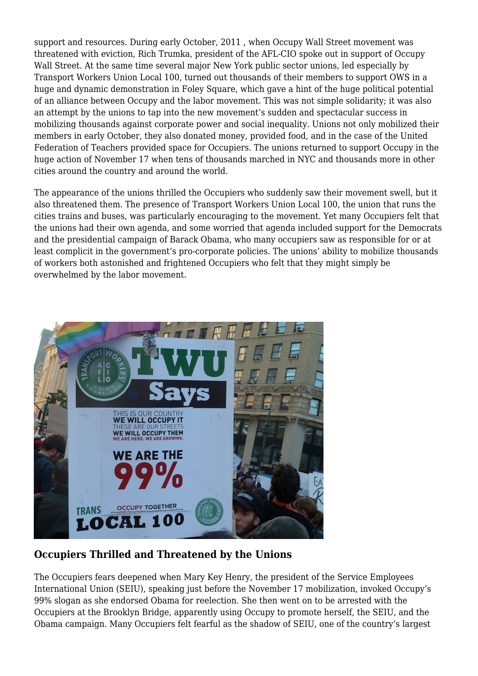support and resources. During early October, 2011 , when Occupy Wall Street movement was threatened with eviction, Rich Trumka, president of the AFL-CIO spoke out in support of Occupy Wall Street. At the same time several major New York public sector unions, led especially by Transport Workers Union Local 100, turned out thousands of their members to support OWS in a huge and dynamic demonstration in Foley Square, which gave a hint of the huge political potential of an alliance between Occupy and the labor movement. This was not simple solidarity; it was also an attempt by the unions to tap into the new movement's sudden and spectacular success in mobilizing thousands against corporate power and social inequality. Unions not only mobilized their members in early October, they also donated money, provided food, and in the case of the United Federation of Teachers provided space for Occupiers. The unions returned to support Occupy in the huge action of November 17 when tens of thousands marched in NYC and thousands more in other cities around the country and around the world.

The appearance of the unions thrilled the Occupiers who suddenly saw their movement swell, but it also threatened them. The presence of Transport Workers Union Local 100, the union that runs the cities trains and buses, was particularly encouraging to the movement. Yet many Occupiers felt that the unions had their own agenda, and some worried that agenda included support for the Democrats and the presidential campaign of Barack Obama, who many occupiers saw as responsible for or at least complicit in the government's pro-corporate policies. The unions' ability to mobilize thousands of workers both astonished and frightened Occupiers who felt that they might simply be overwhelmed by the labor movement.



## **Occupiers Thrilled and Threatened by the Unions**

The Occupiers fears deepened when Mary Key Henry, the president of the Service Employees International Union (SEIU), speaking just before the November 17 mobilization, invoked Occupy's 99% slogan as she endorsed Obama for reelection. She then went on to be arrested with the Occupiers at the Brooklyn Bridge, apparently using Occupy to promote herself, the SEIU, and the Obama campaign. Many Occupiers felt fearful as the shadow of SEIU, one of the country's largest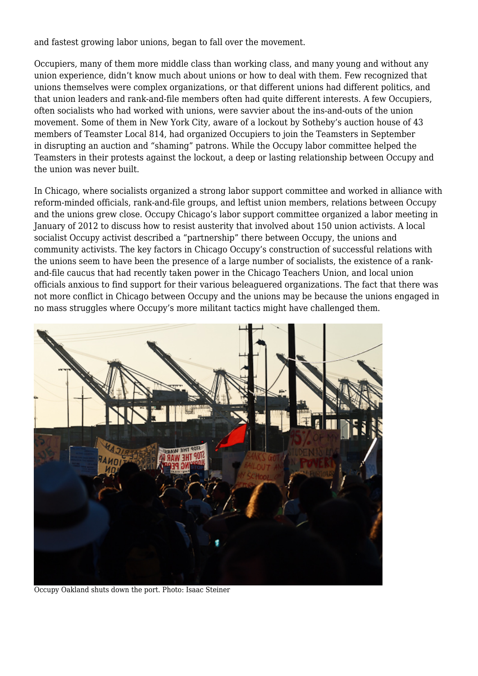and fastest growing labor unions, began to fall over the movement.

Occupiers, many of them more middle class than working class, and many young and without any union experience, didn't know much about unions or how to deal with them. Few recognized that unions themselves were complex organizations, or that different unions had different politics, and that union leaders and rank-and-file members often had quite different interests. A few Occupiers, often socialists who had worked with unions, were savvier about the ins-and-outs of the union movement. Some of them in New York City, aware of a lockout by Sotheby's auction house of 43 members of Teamster Local 814, had [organized Occupiers to join the Teamsters](https://solidarity-us.org/node/3477) in September in [disrupting an auction and "shaming" patrons.](https://solidarity-us.org/node/3457) While the Occupy labor committee helped the Teamsters in their protests against the lockout, a deep or lasting relationship between Occupy and the union was never built.

In Chicago, where socialists organized a strong labor support committee and worked in alliance with reform-minded officials, rank-and-file groups, and leftist union members, relations between Occupy and the unions grew close. Occupy Chicago's labor support committee organized a labor meeting in January of 2012 to discuss how to resist austerity that involved about 150 union activists. A local socialist Occupy activist described a "partnership" there between Occupy, the unions and community activists. The key factors in Chicago Occupy's construction of successful relations with the unions seem to have been the presence of a large number of socialists, the existence of a rankand-file caucus that had recently taken power in the Chicago Teachers Union, and local union officials anxious to find support for their various beleaguered organizations. The fact that there was not more conflict in Chicago between Occupy and the unions may be because the unions engaged in no mass struggles where Occupy's more militant tactics might have challenged them.



Occupy Oakland shuts down the port. Photo: Isaac Steiner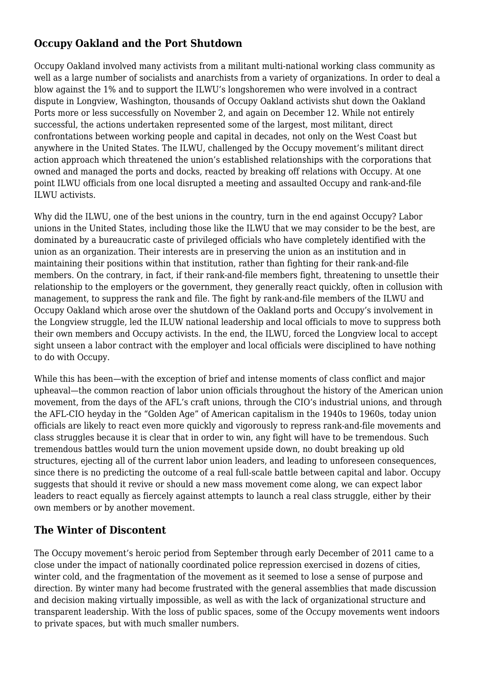# **Occupy Oakland and the Port Shutdown**

Occupy Oakland involved many activists from a militant multi-national working class community as well as a large number of socialists and anarchists from a variety of organizations. In order to deal a blow against the 1% and to support the ILWU's longshoremen who were involved in a contract dispute in Longview, Washington, thousands of Occupy Oakland activists shut down the Oakland Ports more or less successfully on November 2, and again on December 12. While not entirely successful, the actions undertaken represented some of the largest, most militant, direct confrontations between working people and capital in decades, not only on the West Coast but anywhere in the United States. The ILWU, challenged by the Occupy movement's militant direct action approach which threatened the union's established relationships with the corporations that owned and managed the ports and docks, reacted by breaking off relations with Occupy. At one point ILWU officials from one local disrupted a meeting and assaulted Occupy and rank-and-file ILWU activists.

Why did the ILWU, one of the best unions in the country, turn in the end against Occupy? Labor unions in the United States, including those like the ILWU that we may consider to be the best, are dominated by a bureaucratic caste of privileged officials who have completely identified with the union as an organization. Their interests are in preserving the union as an institution and in maintaining their positions within that institution, rather than fighting for their rank-and-file members. On the contrary, in fact, if their rank-and-file members fight, threatening to unsettle their relationship to the employers or the government, they generally react quickly, often in collusion with management, to suppress the rank and file. The fight by rank-and-file members of the ILWU and Occupy Oakland which arose over the shutdown of the Oakland ports and Occupy's involvement in the Longview struggle, led the ILUW national leadership and local officials to move to suppress both their own members and Occupy activists. In the end, the ILWU, forced the Longview local to accept sight unseen a labor contract with the employer and local officials were disciplined to have nothing to do with Occupy.

While this has been—with the exception of brief and intense moments of class conflict and major upheaval—the common reaction of labor union officials throughout the history of the American union movement, from the days of the AFL's craft unions, through the CIO's industrial unions, and through the AFL-CIO heyday in the "Golden Age" of American capitalism in the 1940s to 1960s, today union officials are likely to react even more quickly and vigorously to repress rank-and-file movements and class struggles because it is clear that in order to win, any fight will have to be tremendous. Such tremendous battles would turn the union movement upside down, no doubt breaking up old structures, ejecting all of the current labor union leaders, and leading to unforeseen consequences, since there is no predicting the outcome of a real full-scale battle between capital and labor. Occupy suggests that should it revive or should a new mass movement come along, we can expect labor leaders to react equally as fiercely against attempts to launch a real class struggle, either by their own members or by another movement.

## **The Winter of Discontent**

The Occupy movement's heroic period from September through early December of 2011 came to a close under the impact of nationally coordinated police repression exercised in dozens of cities, winter cold, and the fragmentation of the movement as it seemed to lose a sense of purpose and direction. By winter many had become frustrated with the general assemblies that made discussion and decision making virtually impossible, as well as with the lack of organizational structure and transparent leadership. With the loss of public spaces, some of the Occupy movements went indoors to private spaces, but with much smaller numbers.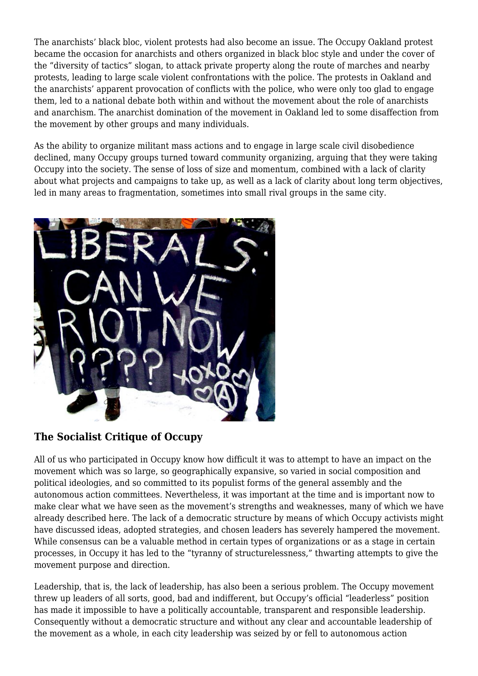The anarchists' black bloc, violent protests had also become an issue. The Occupy Oakland protest became the occasion for anarchists and others organized in black bloc style and under the cover of the "diversity of tactics" slogan, to attack private property along the route of marches and nearby protests, leading to large scale violent confrontations with the police. The protests in Oakland and the anarchists' apparent provocation of conflicts with the police, who were only too glad to engage them, led to a national debate both within and without the movement about the role of anarchists and anarchism. The anarchist domination of the movement in Oakland led to some disaffection from the movement by other groups and many individuals.

As the ability to organize militant mass actions and to engage in large scale civil disobedience declined, many Occupy groups turned toward community organizing, arguing that they were taking Occupy into the society. The sense of loss of size and momentum, combined with a lack of clarity about what projects and campaigns to take up, as well as a lack of clarity about long term objectives, led in many areas to fragmentation, sometimes into small rival groups in the same city.



# **The Socialist Critique of Occupy**

All of us who participated in Occupy know how difficult it was to attempt to have an impact on the movement which was so large, so geographically expansive, so varied in social composition and political ideologies, and so committed to its populist forms of the general assembly and the autonomous action committees. Nevertheless, it was important at the time and is important now to make clear what we have seen as the movement's strengths and weaknesses, many of which we have already described here. The lack of a democratic structure by means of which Occupy activists might have discussed ideas, adopted strategies, and chosen leaders has severely hampered the movement. While consensus can be a valuable method in certain types of organizations or as a stage in certain processes, in Occupy it has led to the "tyranny of structurelessness," thwarting attempts to give the movement purpose and direction.

Leadership, that is, the lack of leadership, has also been a serious problem. The Occupy movement threw up leaders of all sorts, good, bad and indifferent, but Occupy's official "leaderless" position has made it impossible to have a politically accountable, transparent and responsible leadership. Consequently without a democratic structure and without any clear and accountable leadership of the movement as a whole, in each city leadership was seized by or fell to autonomous action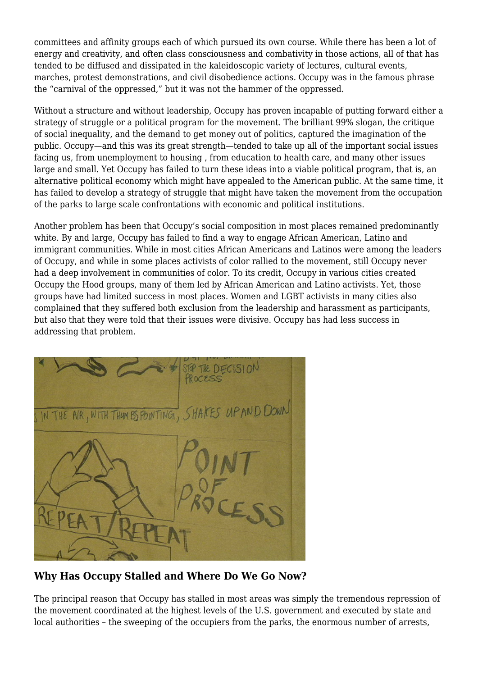committees and affinity groups each of which pursued its own course. While there has been a lot of energy and creativity, and often class consciousness and combativity in those actions, all of that has tended to be diffused and dissipated in the kaleidoscopic variety of lectures, cultural events, marches, protest demonstrations, and civil disobedience actions. Occupy was in the famous phrase the "carnival of the oppressed," but it was not the hammer of the oppressed.

Without a structure and without leadership, Occupy has proven incapable of putting forward either a strategy of struggle or a political program for the movement. The brilliant 99% slogan, the critique of social inequality, and the demand to get money out of politics, captured the imagination of the public. Occupy—and this was its great strength—tended to take up all of the important social issues facing us, from unemployment to housing , from education to health care, and many other issues large and small. Yet Occupy has failed to turn these ideas into a viable political program, that is, an alternative political economy which might have appealed to the American public. At the same time, it has failed to develop a strategy of struggle that might have taken the movement from the occupation of the parks to large scale confrontations with economic and political institutions.

Another problem has been that Occupy's social composition in most places remained predominantly white. By and large, Occupy has failed to find a way to engage African American, Latino and immigrant communities. While in most cities African Americans and Latinos were among the leaders of Occupy, and while in some places activists of color rallied to the movement, still Occupy never had a deep involvement in communities of color. To its credit, Occupy in various cities created Occupy the Hood groups, many of them led by African American and Latino activists. Yet, those groups have had limited success in most places. Women and LGBT activists in many cities also complained that they suffered both exclusion from the leadership and harassment as participants, but also that they were told that their issues were divisive. Occupy has had less success in addressing that problem.



**Why Has Occupy Stalled and Where Do We Go Now?**

The principal reason that Occupy has stalled in most areas was simply the tremendous repression of the movement coordinated at the highest levels of the U.S. government and executed by state and local authorities – the sweeping of the occupiers from the parks, the enormous number of arrests,